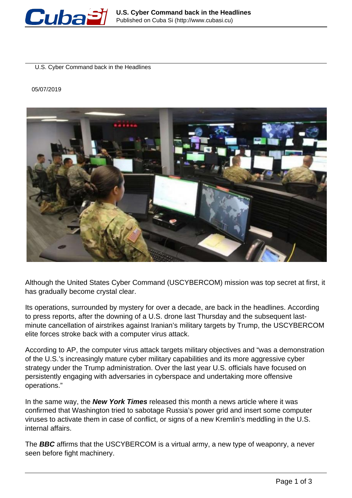

U.S. Cyber Command back in the Headlines

05/07/2019



Although the United States Cyber Command (USCYBERCOM) mission was top secret at first, it has gradually become crystal clear.

Its operations, surrounded by mystery for over a decade, are back in the headlines. According to press reports, after the downing of a U.S. drone last Thursday and the subsequent lastminute cancellation of airstrikes against Iranian's military targets by Trump, the USCYBERCOM elite forces stroke back with a computer virus attack.

According to AP, the computer virus attack targets military objectives and "was a demonstration of the U.S.'s increasingly mature cyber military capabilities and its more aggressive cyber strategy under the Trump administration. Over the last year U.S. officials have focused on persistently engaging with adversaries in cyberspace and undertaking more offensive operations."

In the same way, the **New York Times** released this month a news article where it was confirmed that Washington tried to sabotage Russia's power grid and insert some computer viruses to activate them in case of conflict, or signs of a new Kremlin's meddling in the U.S. internal affairs.

The **BBC** affirms that the USCYBERCOM is a virtual army, a new type of weaponry, a never seen before fight machinery.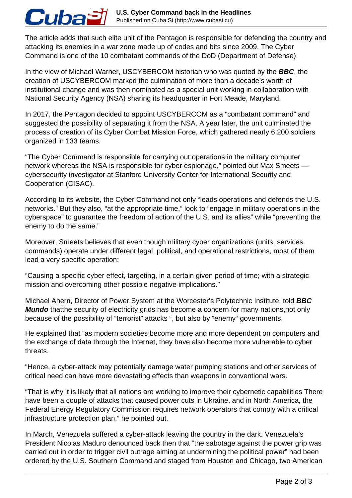The article adds that such elite unit of the Pentagon is responsible for defending the country and attacking its enemies in a war zone made up of codes and bits since 2009. The Cyber Command is one of the 10 combatant commands of the DoD (Department of Defense).

In the view of Michael Warner, USCYBERCOM historian who was quoted by the **BBC**, the creation of USCYBERCOM marked the culmination of more than a decade's worth of institutional change and was then nominated as a special unit working in collaboration with National Security Agency (NSA) sharing its headquarter in Fort Meade, Maryland.

Cuba

In 2017, the Pentagon decided to appoint USCYBERCOM as a "combatant command" and suggested the possibility of separating it from the NSA. A year later, the unit culminated the process of creation of its Cyber Combat Mission Force, which gathered nearly 6,200 soldiers organized in 133 teams.

"The Cyber Command is responsible for carrying out operations in the military computer network whereas the NSA is responsible for cyber espionage." pointed out Max Smeets cybersecurity investigator at Stanford University Center for International Security and Cooperation (CISAC).

According to its website, the Cyber Command not only "leads operations and defends the U.S. networks." But they also, "at the appropriate time," look to "engage in military operations in the cyberspace" to guarantee the freedom of action of the U.S. and its allies" while "preventing the enemy to do the same."

Moreover, Smeets believes that even though military cyber organizations (units, services, commands) operate under different legal, political, and operational restrictions, most of them lead a very specific operation:

"Causing a specific cyber effect, targeting, in a certain given period of time; with a strategic mission and overcoming other possible negative implications."

Michael Ahern, Director of Power System at the Worcester's Polytechnic Institute, told **BBC Mundo** thatthe security of electricity grids has become a concern for many nations,not only because of the possibility of "terrorist" attacks ", but also by "enemy" governments.

He explained that "as modern societies become more and more dependent on computers and the exchange of data through the Internet, they have also become more vulnerable to cyber threats.

"Hence, a cyber-attack may potentially damage water pumping stations and other services of critical need can have more devastating effects than weapons in conventional wars.

"That is why it is likely that all nations are working to improve their cybernetic capabilities There have been a couple of attacks that caused power cuts in Ukraine, and in North America, the Federal Energy Regulatory Commission requires network operators that comply with a critical infrastructure protection plan," he pointed out.

In March, Venezuela suffered a cyber-attack leaving the country in the dark. Venezuela's President Nicolas Maduro denounced back then that "the sabotage against the power grip was carried out in order to trigger civil outrage aiming at undermining the political power" had been ordered by the U.S. Southern Command and staged from Houston and Chicago, two American